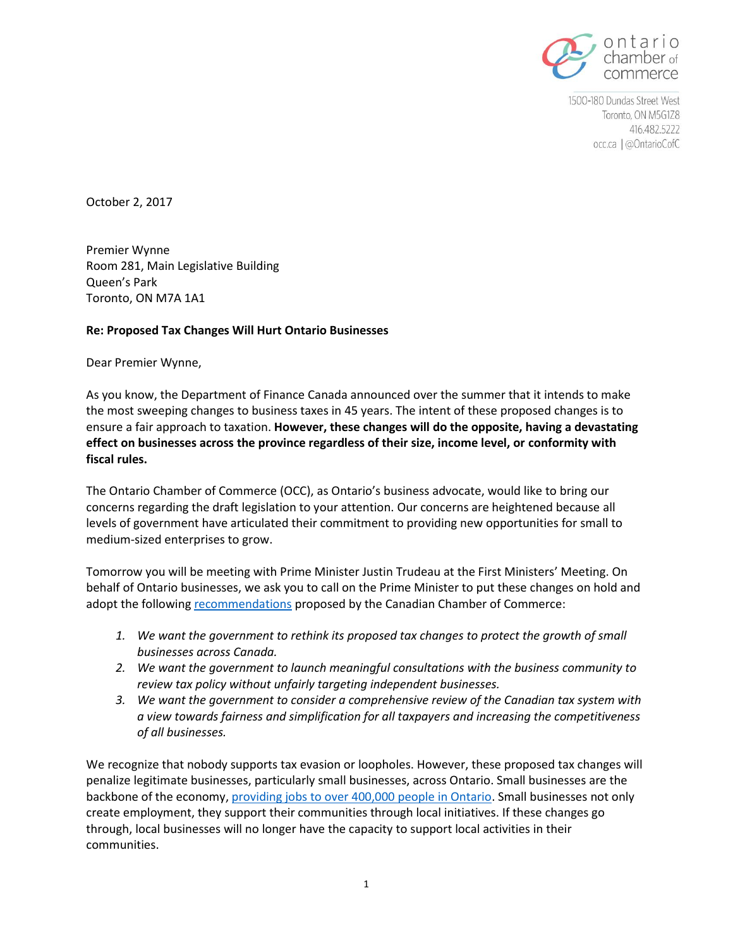

1500-180 Dundas Street West Toronto, ON M5G1Z8 416.482.5222 occ.ca | @OntarioCofC

October 2, 2017

Premier Wynne Room 281, Main Legislative Building Queen's Park Toronto, ON M7A 1A1

## **Re: Proposed Tax Changes Will Hurt Ontario Businesses**

Dear Premier Wynne,

As you know, the Department of Finance Canada announced over the summer that it intends to make the most sweeping changes to business taxes in 45 years. The intent of these proposed changes is to ensure a fair approach to taxation. **However, these changes will do the opposite, having a devastating effect on businesses across the province regardless of their size, income level, or conformity with fiscal rules.**

The Ontario Chamber of Commerce (OCC), as Ontario's business advocate, would like to bring our concerns regarding the draft legislation to your attention. Our concerns are heightened because all levels of government have articulated their commitment to providing new opportunities for small to medium-sized enterprises to grow.

Tomorrow you will be meeting with Prime Minister Justin Trudeau at the First Ministers' Meeting. On behalf of Ontario businesses, we ask you to call on the Prime Minister to put these changes on hold and adopt the following [recommendations](http://chamber.ca/advocacy/hot-topic-corporate-taxes/) proposed by the Canadian Chamber of Commerce:

- *1. We want the government to rethink its proposed tax changes to protect the growth of small businesses across Canada.*
- *2. We want the government to launch meaningful consultations with the business community to review tax policy without unfairly targeting independent businesses.*
- *3. We want the government to consider a comprehensive review of the Canadian tax system with a view towards fairness and simplification for all taxpayers and increasing the competitiveness of all businesses.*

We recognize that nobody supports tax evasion or loopholes. However, these proposed tax changes will penalize legitimate businesses, particularly small businesses, across Ontario. Small businesses are the backbone of the economy[, providing jobs to over 400,000 people in Ontario.](http://www.ic.gc.ca/eic/site/061.nsf/eng/h_03018.html) Small businesses not only create employment, they support their communities through local initiatives. If these changes go through, local businesses will no longer have the capacity to support local activities in their communities.